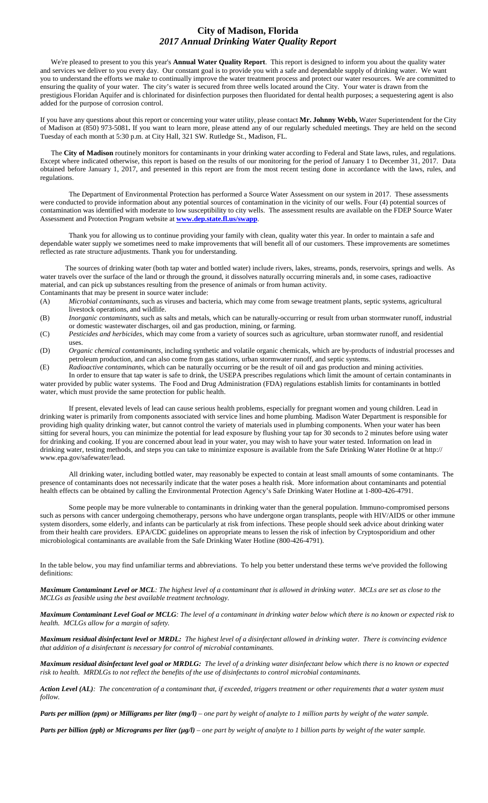## **City of Madison, Florida** *2017 Annual Drinking Water Quality Report*

We're pleased to present to you this year's **Annual Water Quality Report**. This report is designed to inform you about the quality water and services we deliver to you every day. Our constant goal is to provide you with a safe and dependable supply of drinking water. We want you to understand the efforts we make to continually improve the water treatment process and protect our water resources. We are committed to ensuring the quality of your water. The city's water is secured from three wells located around the City. Your water is drawn from the prestigious Floridan Aquifer and is chlorinated for disinfection purposes then fluoridated for dental health purposes; a sequestering agent is also added for the purpose of corrosion control.

If you have any questions about this report or concerning your water utility, please contact **Mr. Johnny Webb,** Water Superintendent for the City of Madison at (850) 973-5081**.** If you want to learn more, please attend any of our regularly scheduled meetings. They are held on the second Tuesday of each month at 5:30 p.m. at City Hall, 321 SW. Rutledge St., Madison, FL.

The **City of Madison** routinely monitors for contaminants in your drinking water according to Federal and State laws, rules, and regulations. Except where indicated otherwise, this report is based on the results of our monitoring for the period of January 1 to December 31, 2017. Data obtained before January 1, 2017, and presented in this report are from the most recent testing done in accordance with the laws, rules, and regulations.

The Department of Environmental Protection has performed a Source Water Assessment on our system in 2017. These assessments were conducted to provide information about any potential sources of contamination in the vicinity of our wells. Four (4) potential sources of contamination was identified with moderate to low susceptibility to city wells. The assessment results are available on the FDEP Source Water Assessment and Protection Program website at **[www.dep.state.fl.us/swapp](http://www.dep.state.fl.us/swapp)**.

Thank you for allowing us to continue providing your family with clean, quality water this year. In order to maintain a safe and dependable water supply we sometimes need to make improvements that will benefit all of our customers. These improvements are sometimes reflected as rate structure adjustments. Thank you for understanding.

The sources of drinking water (both tap water and bottled water) include rivers, lakes, streams, ponds, reservoirs, springs and wells. As water travels over the surface of the land or through the ground, it dissolves naturally occurring minerals and, in some cases, radioactive material, and can pick up substances resulting from the presence of animals or from human activity. Contaminants that may be present in source water include:

- (A) *Microbial contaminants*, such as viruses and bacteria, which may come from sewage treatment plants, septic systems, agricultural livestock operations, and wildlife.
- (B) *Inorganic contaminants,* such as salts and metals, which can be naturally-occurring or result from urban stormwater runoff, industrial or domestic wastewater discharges, oil and gas production, mining, or farming.
- (C) *Pesticides and herbicides,* which may come from a variety of sources such as agriculture, urban stormwater runoff, and residential uses.
- (D) *Organic chemical contaminants,* including synthetic and volatile organic chemicals, which are by-products of industrial processes and petroleum production, and can also come from gas stations, urban stormwater runoff, and septic systems.
- (E) *Radioactive contaminants,* which can be naturally occurring or be the result of oil and gas production and mining activities. In order to ensure that tap water is safe to drink, the USEPA prescribes regulations which limit the amount of certain contaminants in

water provided by public water systems. The Food and Drug Administration (FDA) regulations establish limits for contaminants in bottled water, which must provide the same protection for public health.

If present, elevated levels of lead can cause serious health problems, especially for pregnant women and young children. Lead in drinking water is primarily from components associated with service lines and home plumbing. Madison Water Department is responsible for providing high quality drinking water, but cannot control the variety of materials used in plumbing components. When your water has been sitting for several hours, you can minimize the potential for lead exposure by flushing your tap for 30 seconds to 2 minutes before using water for drinking and cooking. If you are concerned about lead in your water, you may wish to have your water tested. Information on lead in drinking water, testing methods, and steps you can take to minimize exposure is available from the Safe Drinking Water Hotline 0r at http:// www.epa.gov/safewater/lead.

All drinking water, including bottled water, may reasonably be expected to contain at least small amounts of some contaminants. The presence of contaminants does not necessarily indicate that the water poses a health risk. More information about contaminants and potential health effects can be obtained by calling the Environmental Protection Agency's Safe Drinking Water Hotline at 1-800-426-4791.

Some people may be more vulnerable to contaminants in drinking water than the general population. Immuno-compromised persons such as persons with cancer undergoing chemotherapy, persons who have undergone organ transplants, people with HIV/AIDS or other immune system disorders, some elderly, and infants can be particularly at risk from infections. These people should seek advice about drinking water from their health care providers. EPA/CDC guidelines on appropriate means to lessen the risk of infection by Cryptosporidium and other microbiological contaminants are available from the Safe Drinking Water Hotline (800-426-4791).

In the table below, you may find unfamiliar terms and abbreviations. To help you better understand these terms we've provided the following definitions:

*Maximum Contaminant Level or MCL: The highest level of a contaminant that is allowed in drinking water. MCLs are set as close to the MCLGs as feasible using the best available treatment technology.*

*Maximum Contaminant Level Goal or MCLG: The level of a contaminant in drinking water below which there is no known or expected risk to health. MCLGs allow for a margin of safety.*

*Maximum residual disinfectant level or MRDL: The highest level of a disinfectant allowed in drinking water. There is convincing evidence that addition of a disinfectant is necessary for control of microbial contaminants.*

*Maximum residual disinfectant level goal or MRDLG: The level of a drinking water disinfectant below which there is no known or expected risk to health. MRDLGs to not reflect the benefits of the use of disinfectants to control microbial contaminants.*

*Action Level (AL): The concentration of a contaminant that, if exceeded, triggers treatment or other requirements that a water system must follow.*

*Parts per million (ppm) or Milligrams per liter (mg/l) – one part by weight of analyte to 1 million parts by weight of the water sample.*

*Parts per billion (ppb) or Micrograms per liter (µg/l) – one part by weight of analyte to 1 billion parts by weight of the water sample.*